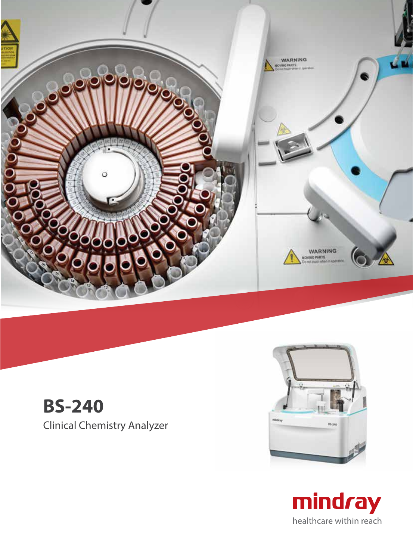

# **BS-240** Clinical Chemistry Analyzer



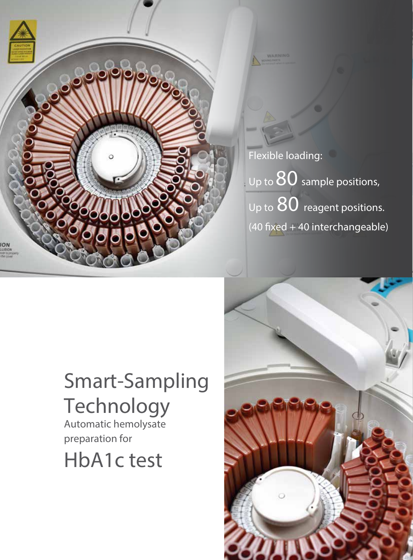

Flexible loading: Up to  $80$  sample positions, Up to  $80$  reagent positions.  $(40$  fixed + 40 interchangeable)

# Smart-Sampling **Technology**

Automatic hemolysate preparation for

HbA1c test

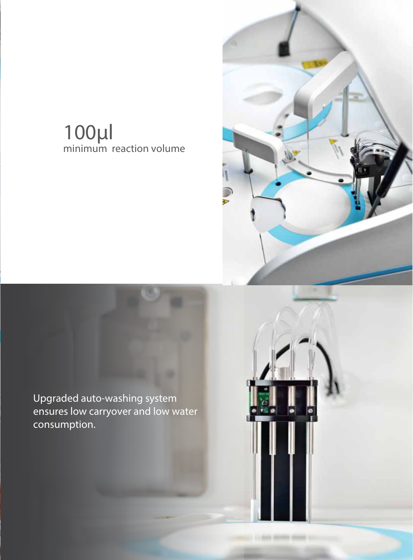# 100μl minimum reaction volume



Children Monte Children

Upgraded auto-washing system ensures low carryover and low water consumption.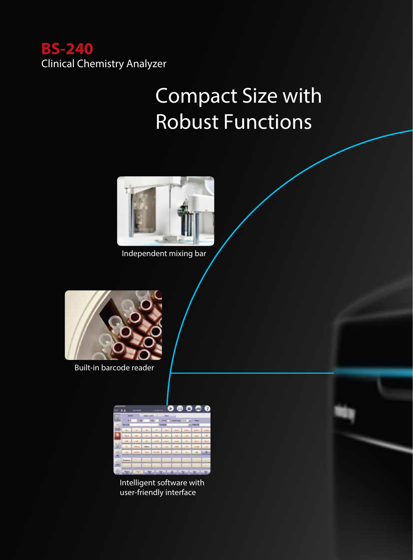

# Compact Size with Robust Functions



Independent mixing bar



Built-in barcode reader

|             | Đ<br>٠         | <b>Barnet</b> |   | <b>Wildle</b> | ×                    | ❶                           | $\bullet$ | ۰                  | 3 |
|-------------|----------------|---------------|---|---------------|----------------------|-----------------------------|-----------|--------------------|---|
| ш<br>تون    | ٠              | ma -          |   | <b>Ball</b>   | <b>Harak</b><br>mart | <b>Search Type: Install</b> |           |                    |   |
|             | <b>Bartons</b> |               |   |               | --                   |                             |           | <b>Professor B</b> |   |
| <b>Alge</b> |                |               |   |               |                      | <b>Bank</b>                 |           |                    |   |
| Ä           | ÷              |               |   |               |                      | ×                           |           |                    |   |
|             |                |               |   |               |                      |                             |           |                    |   |
| Ë           |                |               |   |               |                      |                             |           |                    |   |
|             |                |               |   |               |                      |                             |           |                    |   |
| ŝ           |                |               |   |               |                      |                             |           |                    |   |
| g           | <b>Renaued</b> |               |   |               |                      |                             |           |                    |   |
|             |                |               |   |               |                      |                             |           |                    |   |
|             | <b>Ages</b>    |               | 보 | ÷             |                      | н                           | 缶         | н                  | 늎 |

Intelligent software with user-friendly interface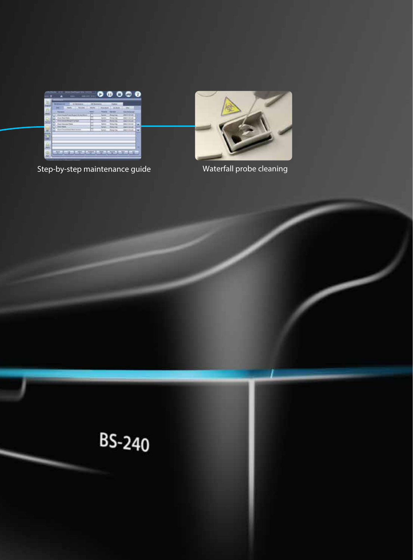

Step-by-step maintenance guide Waterfall probe cleaning



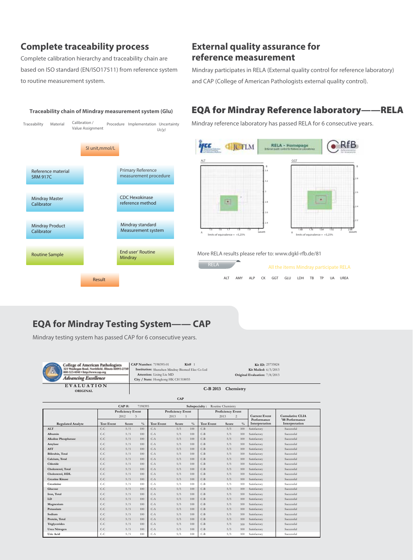## **Complete traceability process**

Complete calibration hierarchy and traceability chain are based on ISO standard (EN/ISO17511) from reference system to routine measurement system.

### **External quality assurance for reference measurement**

Mindray participates in RELA (External quality control for reference laboratory) and CAP (College of American Pathologists external quality control).

## EQA for Mindray Reference laboratory**——**RELA

Mindray reference laboratory has passed RELA for 6 consecutive years.

SI unit,mmol/L Primary Reference measurement procedure CDC Hexokinase reference method Mindray standard Measurement system End user' Routine Mindray Reference material SRM 917C Mindray Master Calibrator Mindray Product Calibrator Routine Sample Traceability Material Calibration / Procedure Implementation Uncertainty *Uc(y)* Value Assignment Calibration /

Result



More RELA results please refer to: www.dgkl-rfb.de/81

| <b>RELA</b> |      |  |                                      | All the items Mindray participate RELA |  |  |  |  |
|-------------|------|--|--------------------------------------|----------------------------------------|--|--|--|--|
|             | AI T |  | AMY ALP CK GGT GLU LDH TB TP UA UREA |                                        |  |  |  |  |

## **EQA for Mindray Testing System—— CAP**

Mindray testing system has passed CAP for 6 consecutive years.

| <b>College of American Pathologists</b><br>431-4040 · http://www.cap.org<br><b>Advancing Excellence</b> | CAP Number: 7198395-01<br>Kit# 1<br>Institution: Shenzhen Mindray Biomed Elec Co Ltd<br>Attention: Lixing Liu MD<br>City / State: Hongkong HK CH 518055 | Kit ID: 25733824<br>Kit Mailed: 6/3/2013<br>Original Evaluation: 7/8/2013 |
|---------------------------------------------------------------------------------------------------------|---------------------------------------------------------------------------------------------------------------------------------------------------------|---------------------------------------------------------------------------|
| EVALUATION<br><b>ORIGINAL</b>                                                                           | $C-B 2013$                                                                                                                                              | Chemistry                                                                 |
|                                                                                                         | $\mathbf{C}\mathbf{A}\mathbf{D}$                                                                                                                        |                                                                           |

| CAP#<br>7198395<br>Subspecialty:<br>Routine Chemistry |                                         |       |               |                           |       |               |                                             |       |               |                                     |                                    |  |
|-------------------------------------------------------|-----------------------------------------|-------|---------------|---------------------------|-------|---------------|---------------------------------------------|-------|---------------|-------------------------------------|------------------------------------|--|
|                                                       | Proficiency Event<br>2012<br>$\ddot{ }$ |       |               | Proficiency Event<br>2013 |       |               | Proficiency Event<br>2013<br>$\mathfrak{D}$ |       |               | <b>Current Event</b><br>Performance | Cumulative CLIA<br>'88 Performance |  |
| <b>Regulated Analyte</b>                              | <b>Test Event</b>                       | Score | $\frac{0}{6}$ | <b>Test Event</b>         | Score | $\frac{0}{6}$ | <b>Test Event</b>                           | Score | $\frac{0}{6}$ | Interpretation                      | Interpretation                     |  |
| <b>ALT</b>                                            | $C-C$                                   | 5/5   | 100           | $C-A$                     | 5/5   | 100           | $C-B$                                       | 5/5   | 100           | Satisfactory                        | Successful                         |  |
| Albumin                                               | $C-C$                                   | 5/5   | 100           | $C-A$                     | 5/5   | 100           | $C-B$                                       | 5/5   | 100           | Satisfactory                        | Successful                         |  |
| <b>Alkaline Phosphatase</b>                           | $C-C$                                   | 5/5   | 100           | $C-A$                     | 5/5   | 100           | $C-B$                                       | 5/5   | 100           | Satisfactory                        | Successful                         |  |
| Amylase                                               | $C-C$                                   | 5/5   | 100           | $C-A$                     | 5/5   | 100           | $C-B$                                       | 5/5   | 100           | Satisfactory                        | Successful                         |  |
| <b>AST</b>                                            | $C-C$                                   | 5/5   | 100           | $C-A$                     | 5/5   | 100           | $C-B$                                       | 5/5   | 100           | Satisfactory                        | Successful                         |  |
| Bilirubin, Total                                      | $C-C$                                   | 5/5   | 100           | $C-A$                     | 5/5   | 100           | $C-B$                                       | 5/5   | 100           | Satisfactory                        | Successful                         |  |
| Calcium, Total                                        | $C-C$                                   | 5/5   | 100           | $C-A$                     | 5/5   | 100           | $C-B$                                       | 5/5   | 100           | Satisfactory                        | Successful                         |  |
| Chloride                                              | $C-C$                                   | 5/5   | 100           | $C-A$                     | 5/5   | 100           | $C-B$                                       | 5/5   | 100           | Satisfactory                        | Successful                         |  |
| Cholesterol, Total                                    | $C-C$                                   | 5/5   | 100           | $C-A$                     | 5/5   | 100           | $C-B$                                       | 5/5   | 100           | Satisfactory                        | Successful                         |  |
| Cholesterol, HDL                                      | $C-C$                                   | 5/5   | 100           | $C-A$                     | 5/5   | 100           | $C-B$                                       | 5/5   | 100           | Satisfactory                        | Successful                         |  |
| <b>Creatine Kinase</b>                                | $C-C$                                   | 5/5   | 100           | $C-A$                     | 5/5   | 100           | $C-B$                                       | 5/5   | 100           | Satisfactory                        | Successful                         |  |
| Creatinine                                            | $C-C$                                   | 5/5   | 100           | $C-A$                     | 5/5   | 100           | $C-B$                                       | 5/5   | 100           | Satisfactory                        | Successful                         |  |
| Glucose                                               | $C-C$                                   | 5/5   | 100           | $C-A$                     | 5/5   | 100           | $C-B$                                       | 5/5   | 100           | Satisfactory                        | Successful                         |  |
| Iron, Total                                           | $C-C$                                   | 5/5   | 100           | $C-A$                     | 5/5   | 100           | $C-B$                                       | 5/5   | 100           | Satisfactory                        | Successful                         |  |
| LD                                                    | $C-C$                                   | 5/5   | 100           | $C-A$                     | 5/5   | 100           | $C-B$                                       | 5/5   | 100           | Satisfactory                        | Successful                         |  |
| Magnesium                                             | $C-C$                                   | 5/5   | 100           | $C-A$                     | 5/5   | 100           | $C-B$                                       | 5/5   | 100           | Satisfactory                        | Successful                         |  |
| Potassium                                             | $C-C$                                   | 5/5   | 100           | $C-A$                     | 5/5   | 100           | $C-B$                                       | 5/5   | 100           | Satisfactory                        | Successful                         |  |
| Sodium                                                | $C-C$                                   | 5/5   | 100           | $C-A$                     | 5/5   | 100           | $C-B$                                       | 5/5   | 100           | Satisfactory                        | Successful                         |  |
| Protein, Total                                        | $C-C$                                   | 5/5   | 100           | $C-A$                     | 5/5   | 100           | $C-B$                                       | 5/5   | 100           | Satisfactory                        | Successful                         |  |
| Triglycerides                                         | $C-C$                                   | 5/5   | 100           | $C-A$                     | 5/5   | 100           | $C-B$                                       | 5/5   | 100           | Satisfactory                        | Successful                         |  |
| <b>Urea Nitrogen</b>                                  | $C-C$                                   | 5/5   | 100           | $C-A$                     | 5/5   | 100           | $C-B$                                       | 5/5   | 100           | Satisfactory                        | Successful                         |  |
| <b>Uric Acid</b>                                      | $C-C$                                   | 5/5   | 100           | $C-A$                     | 5/5   | 100           | $C-B$                                       | 5/5   | 100           | Satisfactory                        | Successful                         |  |

### **Traceability chain of Mindray measurement system (Glu)**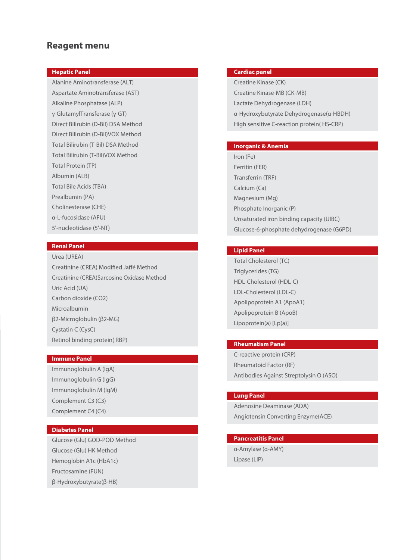#### **Reagent menu**

#### **Hepatic Panel**

Alanine Aminotransferase (ALT) Aspartate Aminotransferase (AST) Alkaline Phosphatase (ALP) γ-GlutamylTransferase (γ-GT) Direct Bilirubin (D-Bil) DSA Method Direct Bilirubin (D-Bil)VOX Method Total Bilirubin (T-Bil) DSA Method Total Bilirubin (T-Bil)VOX Method Total Protein (TP) Albumin (ALB) Total Bile Acids (TBA) Prealbumin (PA) Cholinesterase (CHE) α-L-fucosidase (AFU) 5'-nucleotidase (5'-NT)

#### **Renal Panel**

Urea (UREA) Creatinine (CREA) Modified Jaffé Method Creatinine (CREA)Sarcosine Oxidase Method Uric Acid (UA) Carbon dioxide (CO2) Microalbumin β2-Microglobulin (β2-MG) Cystatin C (CysC) Retinol binding protein( RBP)

#### **Immune Panel**

Immunoglobulin A (IgA) Immunoglobulin G (IgG) Immunoglobulin M (IgM) Complement C3 (C3) Complement C4 (C4)

#### **Diabetes Panel**

Glucose (Glu) GOD-POD Method Glucose (Glu) HK Method Hemoglobin A1c (HbA1c) Fructosamine (FUN) β-Hydroxybutyrate(β-HB)

#### **Cardiac panel**

Creatine Kinase (CK) Creatine Kinase-MB (CK-MB) Lactate Dehydrogenase (LDH) α-Hydroxybutyrate Dehydrogenase(α-HBDH) High sensitive C-reaction protein( HS-CRP)

#### **Inorganic & Anemia**

Iron (Fe) Ferritin (FER) Transferrin (TRF) Calcium (Ca) Magnesium (Mg) Phosphate Inorganic (P) Unsaturated iron binding capacity (UIBC) Glucose-6-phosphate dehydrogenase (G6PD)

#### **Lipid Panel**

Total Cholesterol (TC) Triglycerides (TG) HDL-Cholesterol (HDL-C) LDL-Cholesterol (LDL-C) Apolipoprotein A1 (ApoA1) Apolipoprotein B (ApoB) Lipoprotein(a) [Lp(a)]

#### **Rheumatism Panel**

C-reactive protein (CRP) Rheumatoid Factor (RF) Antibodies Against Streptolysin O (ASO)

#### **Lung Panel**

Adenosine Deaminase (ADA) Angiotensin Converting Enzyme(ACE)

#### **Pancreatitis Panel**

α-Amylase (α-AMY) Lipase (LIP)